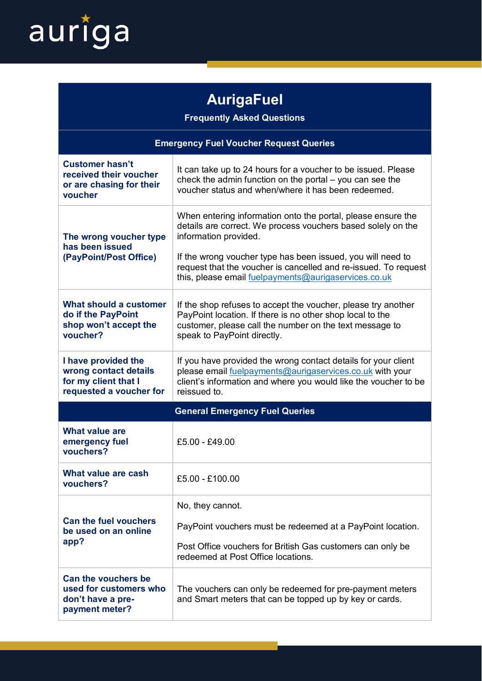

## **AurigaFuel**

**Frequently Asked Questions**

| <b>Emergency Fuel Voucher Request Queries</b>                                                   |                                                                                                                                                                                                                                                                                                                                                 |
|-------------------------------------------------------------------------------------------------|-------------------------------------------------------------------------------------------------------------------------------------------------------------------------------------------------------------------------------------------------------------------------------------------------------------------------------------------------|
| <b>Customer hasn't</b><br>received their voucher<br>or are chasing for their<br>voucher         | It can take up to 24 hours for a voucher to be issued. Please<br>check the admin function on the portal - you can see the<br>voucher status and when/where it has been redeemed.                                                                                                                                                                |
| The wrong voucher type<br>has been issued<br>(PayPoint/Post Office)                             | When entering information onto the portal, please ensure the<br>details are correct. We process vouchers based solely on the<br>information provided.<br>If the wrong voucher type has been issued, you will need to<br>request that the voucher is cancelled and re-issued. To request<br>this, please email fuelpayments@aurigaservices.co.uk |
| What should a customer<br>do if the PayPoint<br>shop won't accept the<br>voucher?               | If the shop refuses to accept the voucher, please try another<br>PayPoint location. If there is no other shop local to the<br>customer, please call the number on the text message to<br>speak to PayPoint directly.                                                                                                                            |
| I have provided the<br>wrong contact details<br>for my client that I<br>requested a voucher for | If you have provided the wrong contact details for your client<br>please email fuelpayments@aurigaservices.co.uk with your<br>client's information and where you would like the voucher to be<br>reissued to.                                                                                                                                   |
| <b>General Emergency Fuel Queries</b>                                                           |                                                                                                                                                                                                                                                                                                                                                 |
| <b>What value are</b><br>emergency fuel<br>vouchers?                                            | £5.00 - £49.00                                                                                                                                                                                                                                                                                                                                  |
| What value are cash<br>vouchers?                                                                | £5.00 - £100.00                                                                                                                                                                                                                                                                                                                                 |
| <b>Can the fuel vouchers</b><br>be used on an online<br>app?                                    | No, they cannot.<br>PayPoint vouchers must be redeemed at a PayPoint location.<br>Post Office vouchers for British Gas customers can only be<br>redeemed at Post Office locations.                                                                                                                                                              |
| Can the vouchers be<br>used for customers who<br>don't have a pre-<br>payment meter?            | The vouchers can only be redeemed for pre-payment meters<br>and Smart meters that can be topped up by key or cards.                                                                                                                                                                                                                             |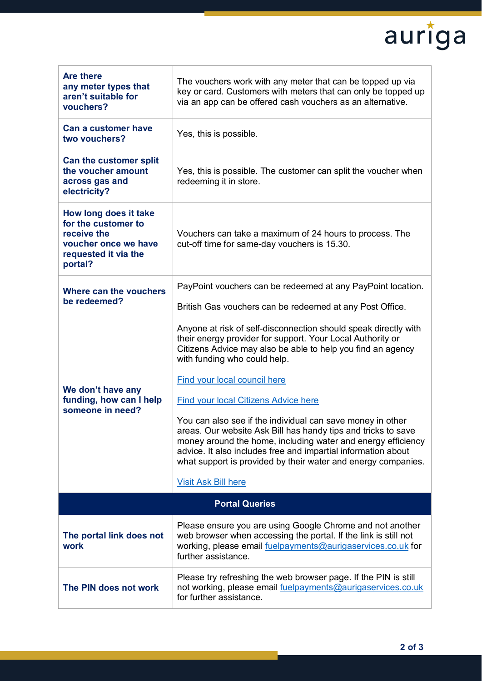## auriga

| <b>Are there</b><br>any meter types that<br>aren't suitable for<br>vouchers?                                           | The vouchers work with any meter that can be topped up via<br>key or card. Customers with meters that can only be topped up<br>via an app can be offered cash vouchers as an alternative.                                                                                                                                     |  |
|------------------------------------------------------------------------------------------------------------------------|-------------------------------------------------------------------------------------------------------------------------------------------------------------------------------------------------------------------------------------------------------------------------------------------------------------------------------|--|
| <b>Can a customer have</b><br>two vouchers?                                                                            | Yes, this is possible.                                                                                                                                                                                                                                                                                                        |  |
| Can the customer split<br>the voucher amount<br>across gas and<br>electricity?                                         | Yes, this is possible. The customer can split the voucher when<br>redeeming it in store.                                                                                                                                                                                                                                      |  |
| How long does it take<br>for the customer to<br>receive the<br>voucher once we have<br>requested it via the<br>portal? | Vouchers can take a maximum of 24 hours to process. The<br>cut-off time for same-day vouchers is 15.30.                                                                                                                                                                                                                       |  |
| Where can the vouchers<br>be redeemed?                                                                                 | PayPoint vouchers can be redeemed at any PayPoint location.                                                                                                                                                                                                                                                                   |  |
|                                                                                                                        | British Gas vouchers can be redeemed at any Post Office.                                                                                                                                                                                                                                                                      |  |
|                                                                                                                        | Anyone at risk of self-disconnection should speak directly with<br>their energy provider for support. Your Local Authority or<br>Citizens Advice may also be able to help you find an agency<br>with funding who could help.                                                                                                  |  |
|                                                                                                                        | <b>Find your local council here</b>                                                                                                                                                                                                                                                                                           |  |
| We don't have any<br>funding, how can I help                                                                           | <b>Find your local Citizens Advice here</b>                                                                                                                                                                                                                                                                                   |  |
| someone in need?                                                                                                       | You can also see if the individual can save money in other<br>areas. Our website Ask Bill has handy tips and tricks to save<br>money around the home, including water and energy efficiency<br>advice. It also includes free and impartial information about<br>what support is provided by their water and energy companies. |  |
|                                                                                                                        | <b>Visit Ask Bill here</b>                                                                                                                                                                                                                                                                                                    |  |
| <b>Portal Queries</b>                                                                                                  |                                                                                                                                                                                                                                                                                                                               |  |
| The portal link does not<br>work                                                                                       | Please ensure you are using Google Chrome and not another<br>web browser when accessing the portal. If the link is still not<br>working, please email fuelpayments@aurigaservices.co.uk for<br>further assistance.                                                                                                            |  |
| The PIN does not work                                                                                                  | Please try refreshing the web browser page. If the PIN is still<br>not working, please email fuelpayments@aurigaservices.co.uk<br>for further assistance.                                                                                                                                                                     |  |